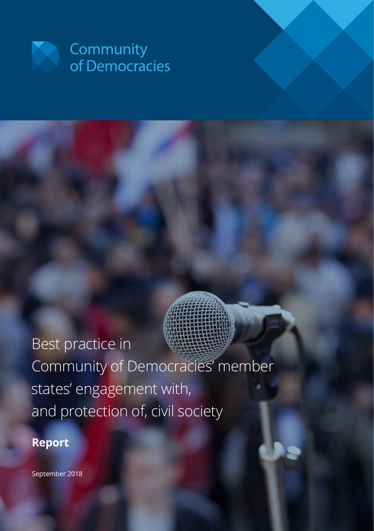

# Best practice in Community of Democracies' member states' engagement with, and protection of, civil society

### **Report**

September 2018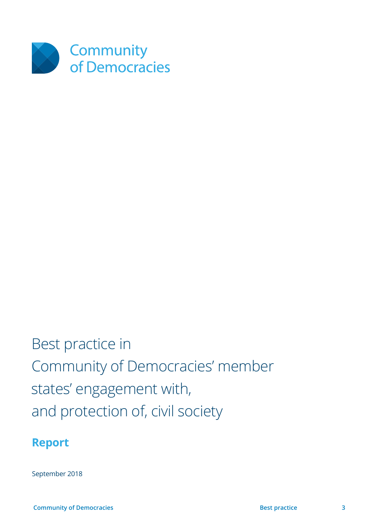

# Best practice in Community of Democracies' member states' engagement with, and protection of, civil society

### **Report**

September 2018

 **Community of Democracies 3 Best practice 3 Best practice 3 Best practice**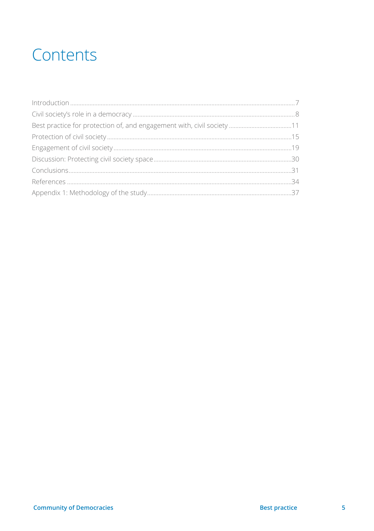## Contents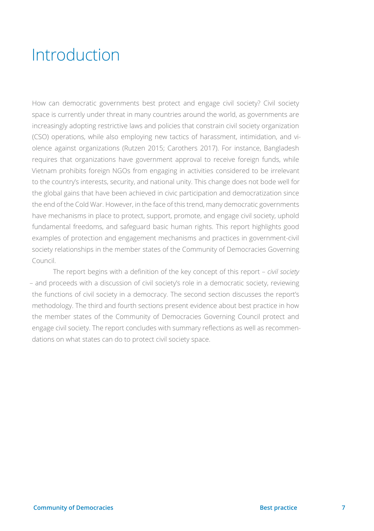## <span id="page-6-0"></span>Introduction

How can democratic governments best protect and engage civil society? Civil society space is currently under threat in many countries around the world, as governments are increasingly adopting restrictive laws and policies that constrain civil society organization (CSO) operations, while also employing new tactics of harassment, intimidation, and violence against organizations (Rutzen 2015; Carothers 2017). For instance, Bangladesh requires that organizations have government approval to receive foreign funds, while Vietnam prohibits foreign NGOs from engaging in activities considered to be irrelevant to the country's interests, security, and national unity. This change does not bode well for the global gains that have been achieved in civic participation and democratization since the end of the Cold War. However, in the face of this trend, many democratic governments have mechanisms in place to protect, support, promote, and engage civil society, uphold fundamental freedoms, and safeguard basic human rights. This report highlights good examples of protection and engagement mechanisms and practices in government-civil society relationships in the member states of the Community of Democracies Governing Council.

 The report begins with a definition of the key concept of this report – *civil society*  – and proceeds with a discussion of civil society's role in a democratic society, reviewing the functions of civil society in a democracy. The second section discusses the report's methodology. The third and fourth sections present evidence about best practice in how the member states of the Community of Democracies Governing Council protect and engage civil society. The report concludes with summary reflections as well as recommendations on what states can do to protect civil society space.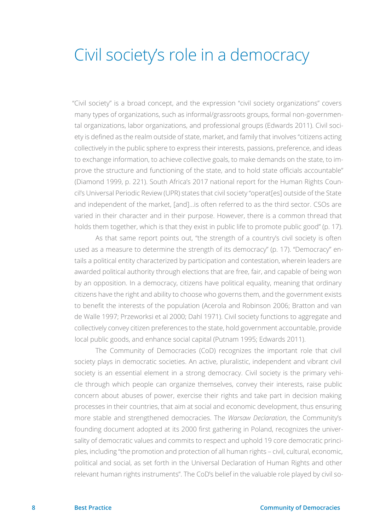### <span id="page-7-0"></span>Civil society's role in a democracy

"Civil society" is a broad concept, and the expression "civil society organizations" covers many types of organizations, such as informal/grassroots groups, formal non-governmental organizations, labor organizations, and professional groups (Edwards 2011). Civil society is defined as the realm outside of state, market, and family that involves "citizens acting collectively in the public sphere to express their interests, passions, preference, and ideas to exchange information, to achieve collective goals, to make demands on the state, to improve the structure and functioning of the state, and to hold state officials accountable" (Diamond 1999, p. 221). South Africa's 2017 national report for the Human Rights Council's Universal Periodic Review (UPR) states that civil society "operat[es] outside of the State and independent of the market, [and]…is often referred to as the third sector. CSOs are varied in their character and in their purpose. However, there is a common thread that holds them together, which is that they exist in public life to promote public good" (p. 17).

As that same report points out, "the strength of a country's civil society is often used as a measure to determine the strength of its democracy" (p. 17). "Democracy" entails a political entity characterized by participation and contestation, wherein leaders are awarded political authority through elections that are free, fair, and capable of being won by an opposition. In a democracy, citizens have political equality, meaning that ordinary citizens have the right and ability to choose who governs them, and the government exists to benefit the interests of the population (Acerola and Robinson 2006; Bratton and van de Walle 1997; Przeworksi et al 2000; Dahl 1971). Civil society functions to aggregate and collectively convey citizen preferences to the state, hold government accountable, provide local public goods, and enhance social capital (Putnam 1995; Edwards 2011).

The Community of Democracies (CoD) recognizes the important role that civil society plays in democratic societies. An active, pluralistic, independent and vibrant civil society is an essential element in a strong democracy. Civil society is the primary vehicle through which people can organize themselves, convey their interests, raise public concern about abuses of power, exercise their rights and take part in decision making processes in their countries, that aim at social and economic development, thus ensuring more stable and strengthened democracies. The *Warsaw Declaration*, the Community's founding document adopted at its 2000 first gathering in Poland, recognizes the universality of democratic values and commits to respect and uphold 19 core democratic principles, including "the promotion and protection of all human rights – civil, cultural, economic, political and social, as set forth in the Universal Declaration of Human Rights and other relevant human rights instruments". The CoD's belief in the valuable role played by civil so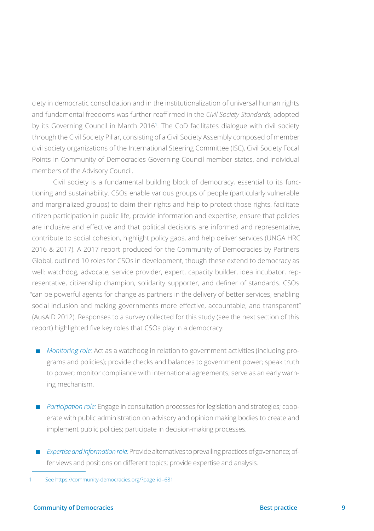ciety in democratic consolidation and in the institutionalization of universal human rights and fundamental freedoms was further reaffirmed in the *Civil Society Standards*, adopted by its Governing Council in March 2016<sup>1</sup> . The CoD facilitates dialogue with civil society through the Civil Society Pillar, consisting of a Civil Society Assembly composed of member civil society organizations of the International Steering Committee (ISC), Civil Society Focal Points in Community of Democracies Governing Council member states, and individual members of the Advisory Council.

 Civil society is a fundamental building block of democracy, essential to its functioning and sustainability. CSOs enable various groups of people (particularly vulnerable and marginalized groups) to claim their rights and help to protect those rights, facilitate citizen participation in public life, provide information and expertise, ensure that policies are inclusive and effective and that political decisions are informed and representative, contribute to social cohesion, highlight policy gaps, and help deliver services (UNGA HRC 2016 & 2017). A 2017 report produced for the Community of Democracies by Partners Global, outlined 10 roles for CSOs in development, though these extend to democracy as well: watchdog, advocate, service provider, expert, capacity builder, idea incubator, representative, citizenship champion, solidarity supporter, and definer of standards. CSOs "can be powerful agents for change as partners in the delivery of better services, enabling social inclusion and making governments more effective, accountable, and transparent" (AusAID 2012). Responses to a survey collected for this study (see the next section of this report) highlighted five key roles that CSOs play in a democracy:

- **Monitoring role:** Act as a watchdog in relation to government activities (including programs and policies); provide checks and balances to government power; speak truth to power; monitor compliance with international agreements; serve as an early warning mechanism.
- **P** *Participation role:* Engage in consultation processes for legislation and strategies; cooperate with public administration on advisory and opinion making bodies to create and implement public policies; participate in decision-making processes.
- <sup>V</sup> *Expertise and information role:* Provide alternatives to prevailing practices of governance; offer views and positions on different topics; provide expertise and analysis.

<sup>1</sup> See https://community-democracies.org/?page\_id=681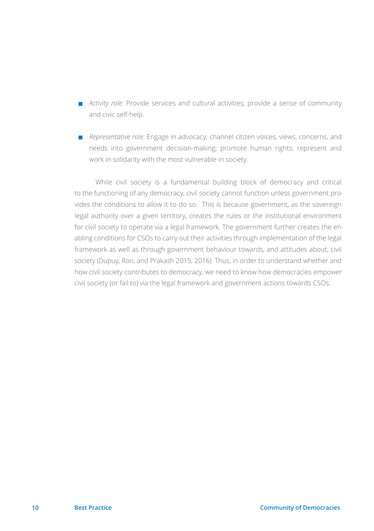- **Activity role:** Provide services and cultural activities; provide a sense of community and civic self-help.
- **Representative role:** Engage in advocacy; channel citizen voices, views, concerns, and needs into government decision-making; promote human rights; represent and work in solidarity with the most vulnerable in society.

 While civil society is a fundamental building block of democracy and critical to the functioning of any democracy, civil society cannot function unless government provides the conditions to allow it to do so. This is because government, as the sovereign legal authority over a given territory, creates the rules or the institutional environment for civil society to operate via a legal framework. The government further creates the enabling conditions for CSOs to carry out their activities through implementation of the legal framework as well as through government behaviour towards, and attitudes about, civil society (Dupuy, Ron, and Prakash 2015, 2016). Thus, in order to understand whether and how civil society contributes to democracy, we need to know how democracies empower civil society (or fail to) via the legal framework and government actions towards CSOs.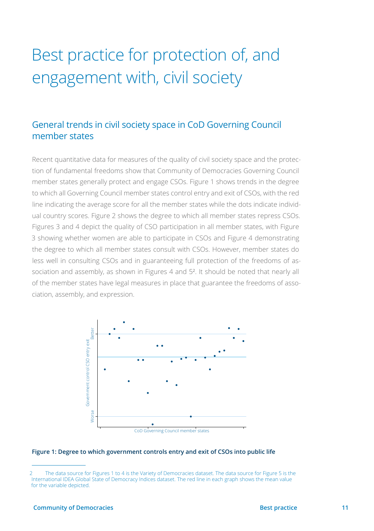## <span id="page-10-0"></span>Best practice for protection of, and engagement with, civil society

### General trends in civil society space in CoD Governing Council member states

Recent quantitative data for measures of the quality of civil society space and the protection of fundamental freedoms show that Community of Democracies Governing Council member states generally protect and engage CSOs. Figure 1 shows trends in the degree to which all Governing Council member states control entry and exit of CSOs, with the red line indicating the average score for all the member states while the dots indicate individual country scores. Figure 2 shows the degree to which all member states repress CSOs. Figures 3 and 4 depict the quality of CSO participation in all member states, with Figure 3 showing whether women are able to participate in CSOs and Figure 4 demonstrating the degree to which all member states consult with CSOs. However, member states do less well in consulting CSOs and in guaranteeing full protection of the freedoms of association and assembly, as shown in Figures 4 and 5<sup>2</sup>. It should be noted that nearly all of the member states have legal measures in place that guarantee the freedoms of association, assembly, and expression.



**Figure 1: Degree to which government controls entry and exit of CSOs into public life**

<sup>2</sup> The data source for Figures 1 to 4 is the Variety of Democracies dataset. The data source for Figure 5 is the International IDEA Global State of Democracy Indices dataset. The red line in each graph shows the mean value for the variable depicted.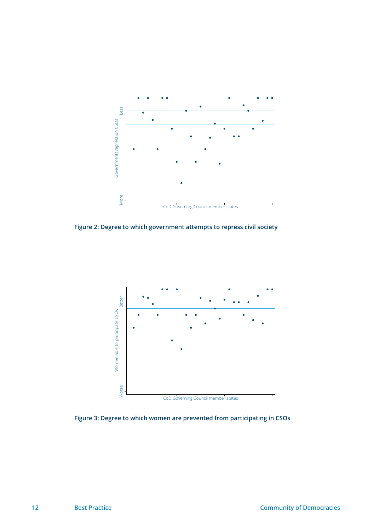

**Figure 2: Degree to which government attempts to repress civil society**



**Figure 3: Degree to which women are prevented from participating in CSOs**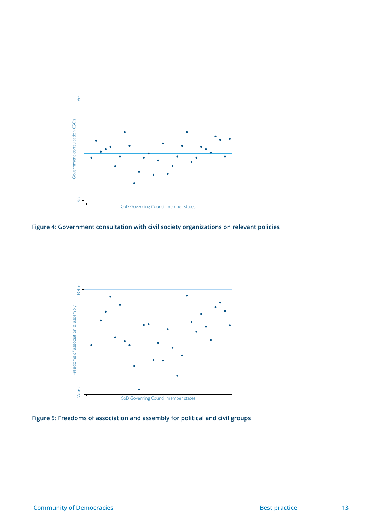

**Figure 4: Government consultation with civil society organizations on relevant policies**



**Figure 5: Freedoms of association and assembly for political and civil groups**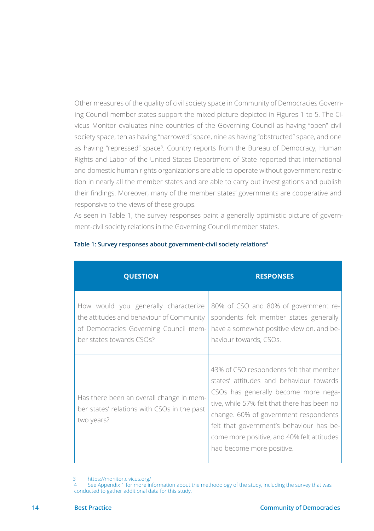Other measures of the quality of civil society space in Community of Democracies Governing Council member states support the mixed picture depicted in Figures 1 to 5. The Civicus Monitor evaluates nine countries of the Governing Council as having "open" civil society space, ten as having "narrowed" space, nine as having "obstructed" space, and one as having "repressed" space<sup>3</sup>. Country reports from the Bureau of Democracy, Human Rights and Labor of the United States Department of State reported that international and domestic human rights organizations are able to operate without government restriction in nearly all the member states and are able to carry out investigations and publish their findings. Moreover, many of the member states' governments are cooperative and responsive to the views of these groups.

As seen in Table 1, the survey responses paint a generally optimistic picture of government-civil society relations in the Governing Council member states.

| <b>QUESTION</b>                                                                                                                                       | <b>RESPONSES</b>                                                                                                                                                                                                                                                                                                                          |
|-------------------------------------------------------------------------------------------------------------------------------------------------------|-------------------------------------------------------------------------------------------------------------------------------------------------------------------------------------------------------------------------------------------------------------------------------------------------------------------------------------------|
| How would you generally characterize<br>the attitudes and behaviour of Community<br>of Democracies Governing Council mem-<br>ber states towards CSOs? | 80% of CSO and 80% of government re-<br>spondents felt member states generally<br>have a somewhat positive view on, and be-<br>haviour towards, CSOs.                                                                                                                                                                                     |
| Has there been an overall change in mem-<br>ber states' relations with CSOs in the past<br>two years?                                                 | 43% of CSO respondents felt that member<br>states' attitudes and behaviour towards<br>CSOs has generally become more nega-<br>tive, while 57% felt that there has been no<br>change. 60% of government respondents<br>felt that government's behaviour has be-<br>come more positive, and 40% felt attitudes<br>had become more positive. |

#### **Table 1: Survey responses about government-civil society relations4**

<sup>3</sup> https://monitor.civicus.org/<br>4 See Annendix 1 for more in

See Appendix 1 for more information about the methodology of the study, including the survey that was conducted to gather additional data for this study.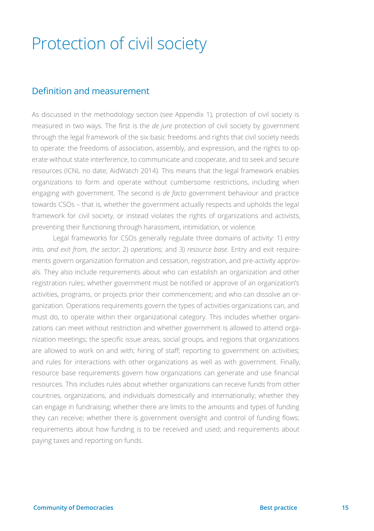### <span id="page-14-0"></span>Protection of civil society

#### Definition and measurement

As discussed in the methodology section (see Appendix 1), protection of civil society is measured in two ways. The first is the *de jure* protection of civil society by government through the legal framework of the six basic freedoms and rights that civil society needs to operate: the freedoms of association, assembly, and expression, and the rights to operate without state interference, to communicate and cooperate, and to seek and secure resources (ICNL no date; AidWatch 2014). This means that the legal framework enables organizations to form and operate without cumbersome restrictions, including when engaging with government. The second is *de facto* government behaviour and practice towards CSOs – that is, whether the government actually respects and upholds the legal framework for civil society, or instead violates the rights of organizations and activists, preventing their functioning through harassment, intimidation, or violence.

 Legal frameworks for CSOs generally regulate three domains of activity: 1) *entry into, and exit from, the sector*; 2) *operations*; and 3) *resource base*. Entry and exit requirements govern organization formation and cessation, registration, and pre-activity approvals. They also include requirements about who can establish an organization and other registration rules; whether government must be notified or approve of an organization's activities, programs, or projects prior their commencement; and who can dissolve an organization. Operations requirements govern the types of activities organizations can, and must do, to operate within their organizational category. This includes whether organizations can meet without restriction and whether government is allowed to attend organization meetings; the specific issue areas, social groups, and regions that organizations are allowed to work on and with; hiring of staff; reporting to government on activities; and rules for interactions with other organizations as well as with government. Finally, resource base requirements govern how organizations can generate and use financial resources. This includes rules about whether organizations can receive funds from other countries, organizations, and individuals domestically and internationally; whether they can engage in fundraising; whether there are limits to the amounts and types of funding they can receive; whether there is government oversight and control of funding flows; requirements about how funding is to be received and used; and requirements about paying taxes and reporting on funds.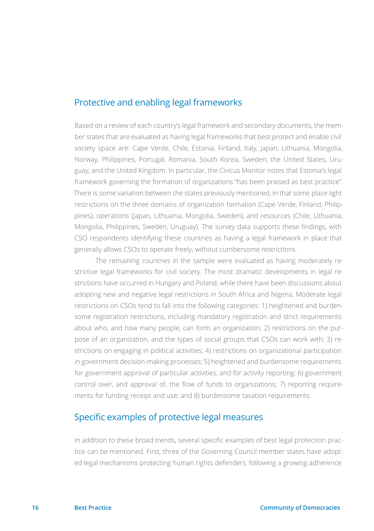#### Protective and enabling legal frameworks

Based on a review of each country's legal framework and secondary documents, the member states that are evaluated as having legal frameworks that best protect and enable civil society space are: Cape Verde, Chile, Estonia, Finland, Italy, Japan, Lithuania, Mongolia, Norway, Philippines, Portugal, Romania, South Korea, Sweden, the United States, Uruguay, and the United Kingdom. In particular, the Civicus Monitor notes that Estonia's legal framework governing the formation of organizations "has been praised as best practice". There is some variation between the states previously mentioned, in that some place light restrictions on the three domains of organization formation (Cape Verde, Finland, Philippines), operations (Japan, Lithuania, Mongolia, Sweden), and resources (Chile, Lithuania, Mongolia, Philippines, Sweden, Uruguay). The survey data supports these findings, with CSO respondents identifying these countries as having a legal framework in place that generally allows CSOs to operate freely, without cumbersome restrictions.

The remaining countries in the sample were evaluated as having moderately restrictive legal frameworks for civil society. The most dramatic developments in legal restrictions have occurred in Hungary and Poland, while there have been discussions about adopting new and negative legal restrictions in South Africa and Nigeria. Moderate legal restrictions on CSOs tend to fall into the following categories: 1) heightened and burdensome registration restrictions, including mandatory registration and strict requirements about who, and how many people, can form an organization; 2) restrictions on the purpose of an organization, and the types of social groups that CSOs can work with; 3) restrictions on engaging in political activities; 4) restrictions on organizational participation in government decision-making processes; 5) heightened and burdensome requirements for government approval of particular activities, and for activity reporting; 6) government control over, and approval of, the flow of funds to organizations; 7) reporting requirements for funding receipt and use; and 8) burdensome taxation requirements.

### Specific examples of protective legal measures

In addition to these broad trends, several specific examples of best legal protection practice can be mentioned. First, three of the Governing Council member states have adopted legal mechanisms protecting human rights defenders, following a growing adherence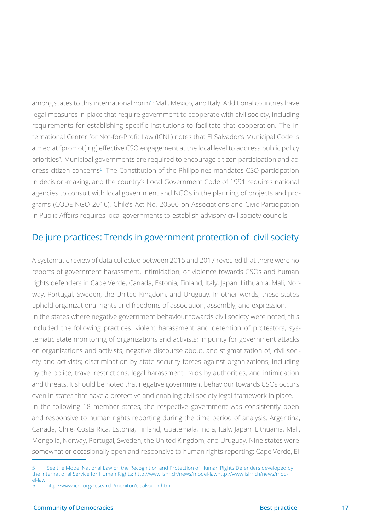among states to this international norm<sup>5</sup>: Mali, Mexico, and Italy. Additional countries have legal measures in place that require government to cooperate with civil society, including requirements for establishing specific institutions to facilitate that cooperation. The International Center for Not-for-Profit Law (ICNL) notes that El Salvador's Municipal Code is aimed at "promot[ing] effective CSO engagement at the local level to address public policy priorities". Municipal governments are required to encourage citizen participation and address citizen concerns<sup>6</sup>. The Constitution of the Philippines mandates CSO participation in decision-making, and the country's Local Government Code of 1991 requires national agencies to consult with local government and NGOs in the planning of projects and programs (CODE-NGO 2016). Chile's Act No. 20500 on Associations and Civic Participation in Public Affairs requires local governments to establish advisory civil society councils.

#### De jure practices: Trends in government protection of civil society

A systematic review of data collected between 2015 and 2017 revealed that there were no reports of government harassment, intimidation, or violence towards CSOs and human rights defenders in Cape Verde, Canada, Estonia, Finland, Italy, Japan, Lithuania, Mali, Norway, Portugal, Sweden, the United Kingdom, and Uruguay. In other words, these states upheld organizational rights and freedoms of association, assembly, and expression. In the states where negative government behaviour towards civil society were noted, this included the following practices: violent harassment and detention of protestors; systematic state monitoring of organizations and activists; impunity for government attacks on organizations and activists; negative discourse about, and stigmatization of, civil society and activists; discrimination by state security forces against organizations, including by the police; travel restrictions; legal harassment; raids by authorities; and intimidation and threats. It should be noted that negative government behaviour towards CSOs occurs even in states that have a protective and enabling civil society legal framework in place.

In the following 18 member states, the respective government was consistently open and responsive to human rights reporting during the time period of analysis: Argentina, Canada, Chile, Costa Rica, Estonia, Finland, Guatemala, India, Italy, Japan, Lithuania, Mali, Mongolia, Norway, Portugal, Sweden, the United Kingdom, and Uruguay. Nine states were somewhat or occasionally open and responsive to human rights reporting: Cape Verde, El

<sup>5</sup> See the Model National Law on the Recognition and Protection of Human Rights Defenders developed by the International Service for Human Rights: [http://www.ishr.ch/news/model-lawhttp://www.ishr.ch/news/mod-](http://www.ishr.ch/news/model-lawhttp://www.ishr.ch/news/model-law)

[el-law](http://www.ishr.ch/news/model-lawhttp://www.ishr.ch/news/model-law)  http://www.icnl.org/research/monitor/elsalvador.html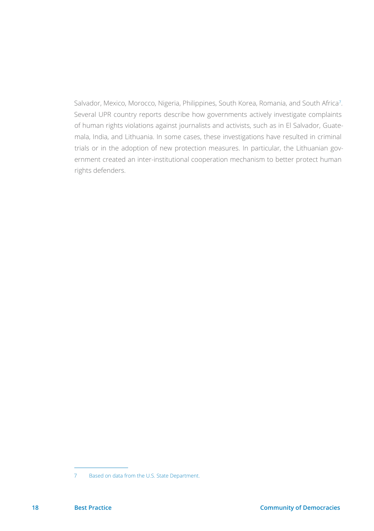Salvador, Mexico, Morocco, Nigeria, Philippines, South Korea, Romania, and South Africa7 . Several UPR country reports describe how governments actively investigate complaints of human rights violations against journalists and activists, such as in El Salvador, Guatemala, India, and Lithuania. In some cases, these investigations have resulted in criminal trials or in the adoption of new protection measures. In particular, the Lithuanian government created an inter-institutional cooperation mechanism to better protect human rights defenders.

<sup>7</sup> Based on data from the U.S. State Department.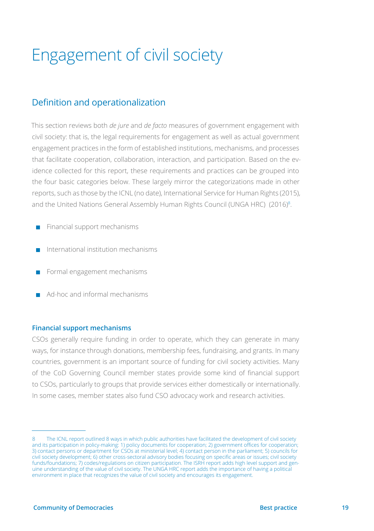# <span id="page-18-0"></span>Engagement of civil society

### Definition and operationalization

This section reviews both *de jure* and *de facto* measures of government engagement with civil society: that is, the legal requirements for engagement as well as actual government engagement practices in the form of established institutions, mechanisms, and processes that facilitate cooperation, collaboration, interaction, and participation. Based on the evidence collected for this report, these requirements and practices can be grouped into the four basic categories below. These largely mirror the categorizations made in other reports, such as those by the ICNL (no date), International Service for Human Rights (2015), and the United Nations General Assembly Human Rights Council (UNGA HRC) (2016)<sup>8</sup>.

- Financial support mechanisms
- International institution mechanisms
- Formal engagement mechanisms
- Ad-hoc and informal mechanisms

#### **Financial support mechanisms**

CSOs generally require funding in order to operate, which they can generate in many ways, for instance through donations, membership fees, fundraising, and grants. In many countries, government is an important source of funding for civil society activities. Many of the CoD Governing Council member states provide some kind of financial support to CSOs, particularly to groups that provide services either domestically or internationally. In some cases, member states also fund CSO advocacy work and research activities.

The ICNL report outlined 8 ways in which public authorities have facilitated the development of civil society and its participation in policy-making: 1) policy documents for cooperation; 2) government offices for cooperation; 3) contact persons or department for CSOs at ministerial level; 4) contact person in the parliament; 5) councils for civil society development; 6) other cross-sectoral advisory bodies focusing on specific areas or issues; civil society funds/foundations; 7) codes/regulations on citizen participation. The ISRH report adds high level support and genuine understanding of the value of civil society. The UNGA HRC report adds the importance of having a political environment in place that recognizes the value of civil society and encourages its engagement.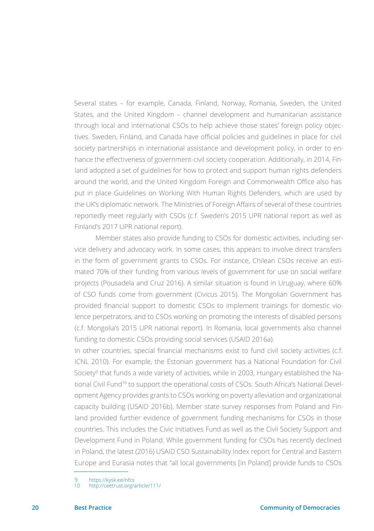Several states – for example, Canada, Finland, Norway, Romania, Sweden, the United States, and the United Kingdom – channel development and humanitarian assistance through local and international CSOs to help achieve those states' foreign policy objectives. Sweden, Finland, and Canada have official policies and guidelines in place for civil society partnerships in international assistance and development policy, in order to enhance the effectiveness of government-civil society cooperation. Additionally, in 2014, Finland adopted a set of guidelines for how to protect and support human rights defenders around the world, and the United Kingdom Foreign and Commonwealth Office also has put in place Guidelines on Working With Human Rights Defenders, which are used by the UK's diplomatic network. The Ministries of Foreign Affairs of several of these countries reportedly meet regularly with CSOs (c.f. Sweden's 2015 UPR national report as well as Finland's 2017 UPR national report).

Member states also provide funding to CSOs for domestic activities, including service delivery and advocacy work. In some cases, this appears to involve direct transfers in the form of government grants to CSOs. For instance, Chilean CSOs receive an estimated 70% of their funding from various levels of government for use on social welfare projects (Pousadela and Cruz 2016). A similar situation is found in Uruguay, where 60% of CSO funds come from government (Civicus 2015). The Mongolian Government has provided financial support to domestic CSOs to implement trainings for domestic violence perpetrators, and to CSOs working on promoting the interests of disabled persons (c.f. Mongolia's 2015 UPR national report). In Romania, local governments also channel funding to domestic CSOs providing social services (USAID 2016a).

In other countries, special financial mechanisms exist to fund civil society activities (c.f. ICNL 2010). For example, the Estonian government has a National Foundation for Civil Society<sup>9</sup> that funds a wide variety of activities, while in 2003, Hungary established the National Civil Fund10 to support the operational costs of CSOs. South Africa's National Development Agency provides grants to CSOs working on poverty alleviation and organizational capacity building (USAID 2016b). Member state survey responses from Poland and Finland provided further evidence of government funding mechanisms for CSOs in those countries. This includes the Civic Initiatives Fund as well as the Civil Society Support and Development Fund in Poland. While government funding for CSOs has recently declined in Poland, the latest (2016) USAID CSO Sustainability Index report for Central and Eastern Europe and Eurasia notes that "all local governments [in Poland] provide funds to CSOs

<sup>9</sup> <https://kysk.ee/nfcs><br>10 http://ceetrust.org/a

http://ceetrust.org/article/111/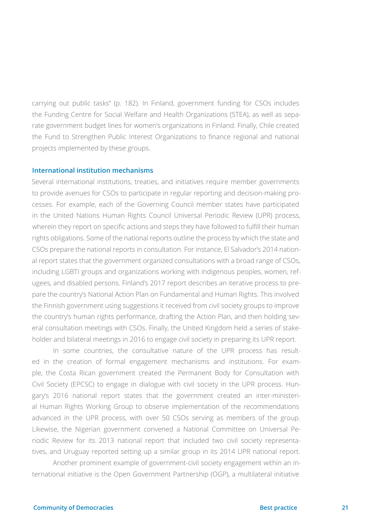carrying out public tasks" (p. 182). In Finland, government funding for CSOs includes the Funding Centre for Social Welfare and Health Organizations (STEA), as well as separate government budget lines for women's organizations in Finland. Finally, Chile created the Fund to Strengthen Public Interest Organizations to finance regional and national projects implemented by these groups.

#### **International institution mechanisms**

Several international institutions, treaties, and initiatives require member governments to provide avenues for CSOs to participate in regular reporting and decision-making processes. For example, each of the Governing Council member states have participated in the United Nations Human Rights Council Universal Periodic Review (UPR) process, wherein they report on specific actions and steps they have followed to fulfill their human rights obligations. Some of the national reports outline the process by which the state and CSOs prepare the national reports in consultation. For instance, El Salvador's 2014 national report states that the government organized consultations with a broad range of CSOs, including LGBTI groups and organizations working with indigenous peoples, women, refugees, and disabled persons. Finland's 2017 report describes an iterative process to prepare the country's National Action Plan on Fundamental and Human Rights. This involved the Finnish government using suggestions it received from civil society groups to improve the country's human rights performance, drafting the Action Plan, and then holding several consultation meetings with CSOs. Finally, the United Kingdom held a series of stakeholder and bilateral meetings in 2016 to engage civil society in preparing its UPR report.

In some countries, the consultative nature of the UPR process has resulted in the creation of formal engagement mechanisms and institutions. For example, the Costa Rican government created the Permanent Body for Consultation with Civil Society (EPCSC) to engage in dialogue with civil society in the UPR process. Hungary's 2016 national report states that the government created an inter-ministerial Human Rights Working Group to observe implementation of the recommendations advanced in the UPR process, with over 50 CSOs serving as members of the group. Likewise, the Nigerian government convened a National Committee on Universal Periodic Review for its 2013 national report that included two civil society representatives, and Uruguay reported setting up a similar group in its 2014 UPR national report.

Another prominent example of government-civil society engagement within an international initiative is the Open Government Partnership (OGP), a multilateral initiative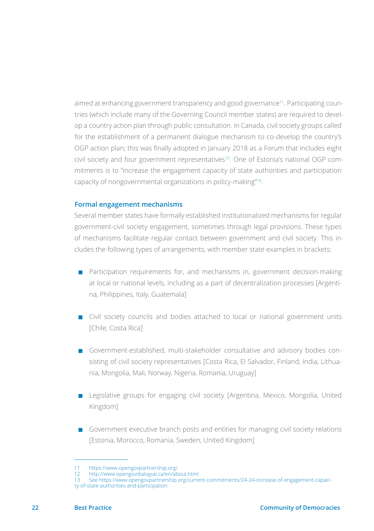aimed at enhancing government transparency and good governance11. Participating countries (which include many of the Governing Council member states) are required to develop a country action plan through public consultation. In Canada, civil society groups called for the establishment of a permanent dialogue mechanism to co-develop the country's OGP action plan; this was finally adopted in January 2018 as a Forum that includes eight civil society and four government representatives<sup>12</sup>. One of Estonia's national OGP commitments is to "increase the engagement capacity of state authorities and participation capacity of nongovernmental organizations in policy-making"13.

#### **Formal engagement mechanisms**

Several member states have formally established institutionalized mechanisms for regular government-civil society engagement, sometimes through legal provisions. These types of mechanisms facilitate regular contact between government and civil society. This includes the following types of arrangements, with member state examples in brackets:

- **Participation requirements for, and mechanisms in, government decision-making** at local or national levels, including as a part of decentralization processes [Argentina, Philippines, Italy, Guatemala]
- $\blacksquare$  Civil society councils and bodies attached to local or national government units [Chile, Costa Rica]
- Government-established, multi-stakeholder consultative and advisory bodies consisting of civil society representatives [Costa Rica, El Salvador, Finland, India, Lithuania, Mongolia, Mali, Norway, Nigeria, Romania, Uruguay]
- **EXA** Legislative groups for engaging civil society [Argentina, Mexico, Mongolia, United Kingdom]
- Government executive branch posts and entities for managing civil society relations [Estonia, Morocco, Romania, Sweden, United Kingdom]

13 See [https://www.opengovpartnership.org/current-commitments/24-24-increase-of-engagement-capaci](https://www.opengovpartnership.org/current-commitments/24-24-increase-of-engagement-capacity-of-state-authorities-and-participation)[ty-of-state-authorities-and-participation](https://www.opengovpartnership.org/current-commitments/24-24-increase-of-engagement-capacity-of-state-authorities-and-participation) 

<sup>11</sup><https://www.opengovpartnership.org/><br>12 http://www.opengovdialogue.ca/en/ab<br>13 See https://www.opengovpartnership. 12<http://www.opengovdialogue.ca/en/about.html>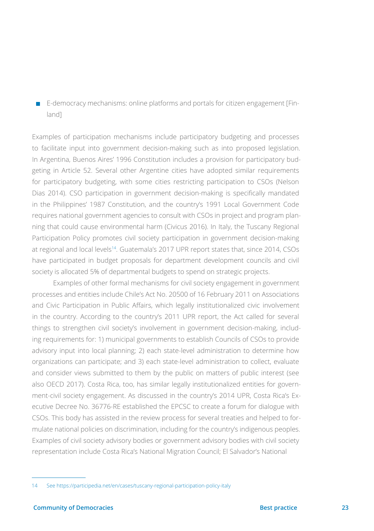$\blacksquare$  E-democracy mechanisms: online platforms and portals for citizen engagement [Finland]

Examples of participation mechanisms include participatory budgeting and processes to facilitate input into government decision-making such as into proposed legislation. In Argentina, Buenos Aires' 1996 Constitution includes a provision for participatory budgeting in Article 52. Several other Argentine cities have adopted similar requirements for participatory budgeting, with some cities restricting participation to CSOs (Nelson Dias 2014). CSO participation in government decision-making is specifically mandated in the Philippines' 1987 Constitution, and the country's 1991 Local Government Code requires national government agencies to consult with CSOs in project and program planning that could cause environmental harm (Civicus 2016). In Italy, the Tuscany Regional Participation Policy promotes civil society participation in government decision-making at regional and local levels14. Guatemala's 2017 UPR report states that, since 2014, CSOs have participated in budget proposals for department development councils and civil society is allocated 5% of departmental budgets to spend on strategic projects.

Examples of other formal mechanisms for civil society engagement in government processes and entities include Chile's Act No. 20500 of 16 February 2011 on Associations and Civic Participation in Public Affairs, which legally institutionalized civic involvement in the country. According to the country's 2011 UPR report, the Act called for several things to strengthen civil society's involvement in government decision-making, including requirements for: 1) municipal governments to establish Councils of CSOs to provide advisory input into local planning; 2) each state-level administration to determine how organizations can participate; and 3) each state-level administration to collect, evaluate and consider views submitted to them by the public on matters of public interest (see also OECD 2017). Costa Rica, too, has similar legally institutionalized entities for government-civil society engagement. As discussed in the country's 2014 UPR, Costa Rica's Executive Decree No. 36776-RE established the EPCSC to create a forum for dialogue with CSOs. This body has assisted in the review process for several treaties and helped to formulate national policies on discrimination, including for the country's indigenous peoples. Examples of civil society advisory bodies or government advisory bodies with civil society representation include Costa Rica's National Migration Council; El Salvador's National

<sup>14</sup> See <https://participedia.net/en/cases/tuscany-regional-participation-policy-italy>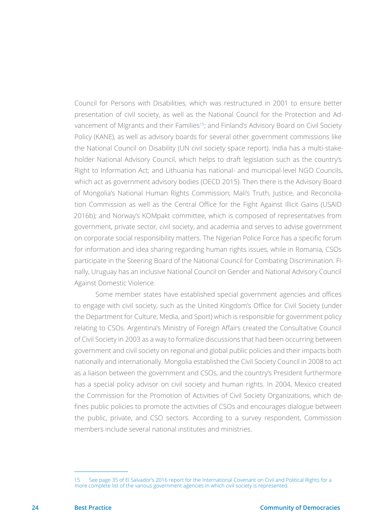Council for Persons with Disabilities, which was restructured in 2001 to ensure better presentation of civil society, as well as the National Council for the Protection and Advancement of Migrants and their Families<sup>15</sup>; and Finland's Advisory Board on Civil Society Policy (KANE), as well as advisory boards for several other government commissions like the National Council on Disability (UN civil society space report). India has a multi-stakeholder National Advisory Council, which helps to draft legislation such as the country's Right to Information Act; and Lithuania has national- and municipal-level NGO Councils, which act as government advisory bodies (OECD 2015). Then there is the Advisory Board of Mongolia's National Human Rights Commission; Mali's Truth, Justice, and Reconciliation Commission as well as the Central Office for the Fight Against Illicit Gains (USAID 2016b); and Norway's KOMpakt committee, which is composed of representatives from government, private sector, civil society, and academia and serves to advise government on corporate social responsibility matters. The Nigerian Police Force has a specific forum for information and idea sharing regarding human rights issues, while in Romania, CSOs participate in the Steering Board of the National Council for Combating Discrimination. Finally, Uruguay has an inclusive National Council on Gender and National Advisory Council Against Domestic Violence.

 Some member states have established special government agencies and offices to engage with civil society, such as the United Kingdom's Office for Civil Society (under the Department for Culture, Media, and Sport) which is responsible for government policy relating to CSOs. Argentina's Ministry of Foreign Affairs created the Consultative Council of Civil Society in 2003 as a way to formalize discussions that had been occurring between government and civil society on regional and global public policies and their impacts both nationally and internationally. Mongolia established the Civil Society Council in 2008 to act as a liaison between the government and CSOs, and the country's President furthermore has a special policy advisor on civil society and human rights. In 2004, Mexico created the Commission for the Promotion of Activities of Civil Society Organizations, which defines public policies to promote the activities of CSOs and encourages dialogue between the public, private, and CSO sectors. According to a survey respondent, Commission members include several national institutes and ministries.

<sup>15</sup> See page 35 of El Salvador's 2016 report for the International Covenant on Civil and Political Rights for a more complete list of the various government agencies in which civil society is represented.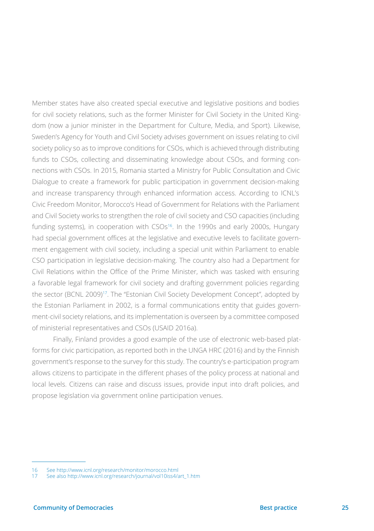Member states have also created special executive and legislative positions and bodies for civil society relations, such as the former Minister for Civil Society in the United Kingdom (now a junior minister in the Department for Culture, Media, and Sport). Likewise, Sweden's Agency for Youth and Civil Society advises government on issues relating to civil society policy so as to improve conditions for CSOs, which is achieved through distributing funds to CSOs, collecting and disseminating knowledge about CSOs, and forming connections with CSOs. In 2015, Romania started a Ministry for Public Consultation and Civic Dialogue to create a framework for public participation in government decision-making and increase transparency through enhanced information access. According to ICNL's Civic Freedom Monitor, Morocco's Head of Government for Relations with the Parliament and Civil Society works to strengthen the role of civil society and CSO capacities (including funding systems), in cooperation with CSOs<sup>16</sup>. In the 1990s and early 2000s, Hungary had special government offices at the legislative and executive levels to facilitate government engagement with civil society, including a special unit within Parliament to enable CSO participation in legislative decision-making. The country also had a Department for Civil Relations within the Office of the Prime Minister, which was tasked with ensuring a favorable legal framework for civil society and drafting government policies regarding the sector (BCNL 2009)17. The "Estonian Civil Society Development Concept", adopted by the Estonian Parliament in 2002, is a formal communications entity that guides government-civil society relations, and its implementation is overseen by a committee composed of ministerial representatives and CSOs (USAID 2016a).

Finally, Finland provides a good example of the use of electronic web-based platforms for civic participation, as reported both in the UNGA HRC (2016) and by the Finnish government's response to the survey for this study. The country's e-participation program allows citizens to participate in the different phases of the policy process at national and local levels. Citizens can raise and discuss issues, provide input into draft policies, and propose legislation via government online participation venues.

<sup>16</sup> See <http://www.icnl.org/research/monitor/morocco.html>

<sup>17</sup> See also [http://www.icnl.org/research/journal/vol10iss4/art\\_1.htm](http://www.icnl.org/research/journal/vol10iss4/art_1.htm)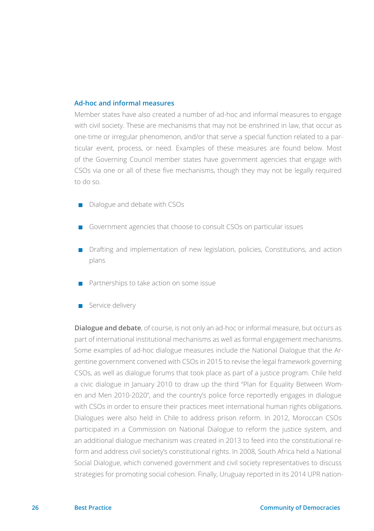#### **Ad-hoc and informal measures**

Member states have also created a number of ad-hoc and informal measures to engage with civil society. These are mechanisms that may not be enshrined in law, that occur as one-time or irregular phenomenon, and/or that serve a special function related to a particular event, process, or need. Examples of these measures are found below. Most of the Governing Council member states have government agencies that engage with CSOs via one or all of these five mechanisms, though they may not be legally required to do so.

- $\Box$  Dialogue and debate with CSOs
- Government agencies that choose to consult CSOs on particular issues
- $\blacksquare$  Drafting and implementation of new legislation, policies, Constitutions, and action plans
- $\blacksquare$  Partnerships to take action on some issue
- Service delivery

**Dialogue and debate**, of course, is not only an ad-hoc or informal measure, but occurs as part of international institutional mechanisms as well as formal engagement mechanisms. Some examples of ad-hoc dialogue measures include the National Dialogue that the Argentine government convened with CSOs in 2015 to revise the legal framework governing CSOs, as well as dialogue forums that took place as part of a justice program. Chile held a civic dialogue in January 2010 to draw up the third "Plan for Equality Between Women and Men 2010-2020", and the country's police force reportedly engages in dialogue with CSOs in order to ensure their practices meet international human rights obligations. Dialogues were also held in Chile to address prison reform. In 2012, Moroccan CSOs participated in a Commission on National Dialogue to reform the justice system, and an additional dialogue mechanism was created in 2013 to feed into the constitutional reform and address civil society's constitutional rights. In 2008, South Africa held a National Social Dialogue, which convened government and civil society representatives to discuss strategies for promoting social cohesion. Finally, Uruguay reported in its 2014 UPR nation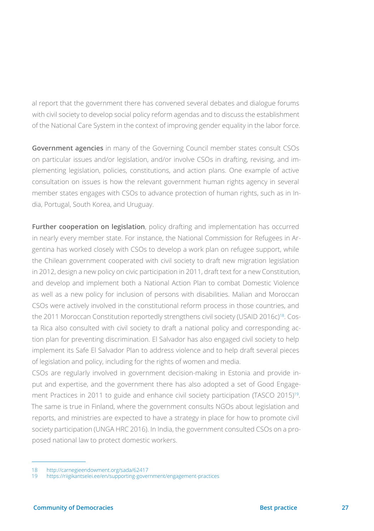al report that the government there has convened several debates and dialogue forums with civil society to develop social policy reform agendas and to discuss the establishment of the National Care System in the context of improving gender equality in the labor force.

**Government agencies** in many of the Governing Council member states consult CSOs on particular issues and/or legislation, and/or involve CSOs in drafting, revising, and implementing legislation, policies, constitutions, and action plans. One example of active consultation on issues is how the relevant government human rights agency in several member states engages with CSOs to advance protection of human rights, such as in India, Portugal, South Korea, and Uruguay.

**Further cooperation on legislation**, policy drafting and implementation has occurred in nearly every member state. For instance, the National Commission for Refugees in Argentina has worked closely with CSOs to develop a work plan on refugee support, while the Chilean government cooperated with civil society to draft new migration legislation in 2012, design a new policy on civic participation in 2011, draft text for a new Constitution, and develop and implement both a National Action Plan to combat Domestic Violence as well as a new policy for inclusion of persons with disabilities. Malian and Moroccan CSOs were actively involved in the constitutional reform process in those countries, and the 2011 Moroccan Constitution reportedly strengthens civil society (USAID 2016c)<sup>18</sup>. Costa Rica also consulted with civil society to draft a national policy and corresponding action plan for preventing discrimination. El Salvador has also engaged civil society to help implement its Safe El Salvador Plan to address violence and to help draft several pieces of legislation and policy, including for the rights of women and media.

CSOs are regularly involved in government decision-making in Estonia and provide input and expertise, and the government there has also adopted a set of Good Engagement Practices in 2011 to guide and enhance civil society participation (TASCO 2015)<sup>19</sup>. The same is true in Finland, where the government consults NGOs about legislation and reports, and ministries are expected to have a strategy in place for how to promote civil society participation (UNGA HRC 2016). In India, the government consulted CSOs on a proposed national law to protect domestic workers.

<sup>18</sup> <http://carnegieendowment.org/sada/62417>

<sup>19</sup> <https://riigikantselei.ee/en/supporting-government/engagement-practices>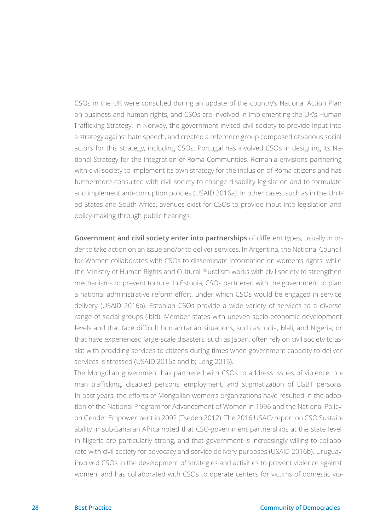CSOs in the UK were consulted during an update of the country's National Action Plan on business and human rights, and CSOs are involved in implementing the UK's Human Trafficking Strategy. In Norway, the government invited civil society to provide input into a strategy against hate speech, and created a reference group composed of various social actors for this strategy, including CSOs. Portugal has involved CSOs in designing its National Strategy for the Integration of Roma Communities. Romania envisions partnering with civil society to implement its own strategy for the inclusion of Roma citizens and has furthermore consulted with civil society to change disability legislation and to formulate and implement anti-corruption policies (USAID 2016a). In other cases, such as in the United States and South Africa, avenues exist for CSOs to provide input into legislation and policy-making through public hearings.

**Government and civil society enter into partnerships** of different types, usually in order to take action on an issue and/or to deliver services. In Argentina, the National Council for Women collaborates with CSOs to disseminate information on women's rights, while the Ministry of Human Rights and Cultural Pluralism works with civil society to strengthen mechanisms to prevent torture. In Estonia, CSOs partnered with the government to plan a national administrative reform effort, under which CSOs would be engaged in service delivery (USAID 2016a). Estonian CSOs provide a wide variety of services to a diverse range of social groups (ibid). Member states with uneven socio-economic development levels and that face difficult humanitarian situations, such as India, Mali, and Nigeria, or that have experienced large-scale disasters, such as Japan, often rely on civil society to assist with providing services to citizens during times when government capacity to deliver services is stressed (USAID 2016a and b; Leng 2015).

The Mongolian government has partnered with CSOs to address issues of violence, human trafficking, disabled persons' employment, and stigmatization of LGBT persons. In past years, the efforts of Mongolian women's organizations have resulted in the adoption of the National Program for Advancement of Women in 1996 and the National Policy on Gender Empowerment in 2002 (Tseden 2012). The 2016 USAID report on CSO Sustainability in sub-Saharan Africa noted that CSO-government partnerships at the state level in Nigeria are particularly strong, and that government is increasingly willing to collaborate with civil society for advocacy and service delivery purposes (USAID 2016b). Uruguay involved CSOs in the development of strategies and activities to prevent violence against women, and has collaborated with CSOs to operate centers for victims of domestic vio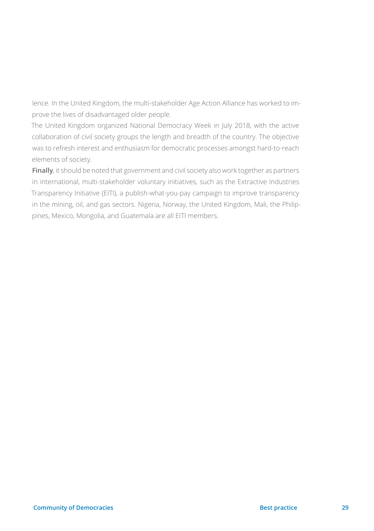lence. In the United Kingdom, the multi-stakeholder Age Action Alliance has worked to improve the lives of disadvantaged older people.

The United Kingdom organized National Democracy Week in July 2018, with the active collaboration of civil society groups the length and breadth of the country. The objective was to refresh interest and enthusiasm for democratic processes amongst hard-to-reach elements of society.

**Finally**, it should be noted that government and civil society also work together as partners in international, multi-stakeholder voluntary initiatives, such as the Extractive Industries Transparency Initiative (EITI), a publish-what-you-pay campaign to improve transparency in the mining, oil, and gas sectors. Nigeria, Norway, the United Kingdom, Mali, the Philippines, Mexico, Mongolia, and Guatemala are all EITI members.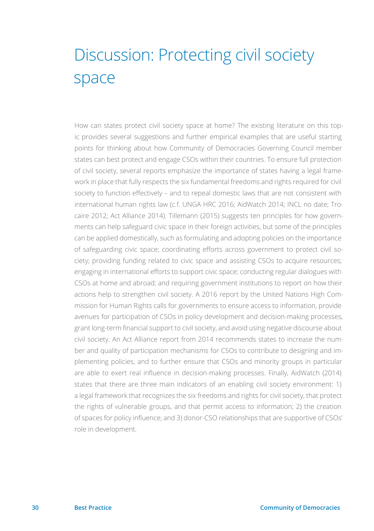## <span id="page-29-0"></span>Discussion: Protecting civil society space

How can states protect civil society space at home? The existing literature on this topic provides several suggestions and further empirical examples that are useful starting points for thinking about how Community of Democracies Governing Council member states can best protect and engage CSOs within their countries. To ensure full protection of civil society, several reports emphasize the importance of states having a legal framework in place that fully respects the six fundamental freedoms and rights required for civil society to function effectively – and to repeal domestic laws that are not consistent with international human rights law (c.f. UNGA HRC 2016; AidWatch 2014; INCL no date; Trocaire 2012; Act Alliance 2014). Tillemann (2015) suggests ten principles for how governments can help safeguard civic space in their foreign activities, but some of the principles can be applied domestically, such as formulating and adopting policies on the importance of safeguarding civic space; coordinating efforts across government to protect civil society; providing funding related to civic space and assisting CSOs to acquire resources; engaging in international efforts to support civic space; conducting regular dialogues with CSOs at home and abroad; and requiring government institutions to report on how their actions help to strengthen civil society. A 2016 report by the United Nations High Commission for Human Rights calls for governments to ensure access to information, provide avenues for participation of CSOs in policy development and decision-making processes, grant long-term financial support to civil society, and avoid using negative discourse about civil society. An Act Alliance report from 2014 recommends states to increase the number and quality of participation mechanisms for CSOs to contribute to designing and implementing policies, and to further ensure that CSOs and minority groups in particular are able to exert real influence in decision-making processes. Finally, AidWatch (2014) states that there are three main indicators of an enabling civil society environment: 1) a legal framework that recognizes the six freedoms and rights for civil society, that protect the rights of vulnerable groups, and that permit access to information; 2) the creation of spaces for policy influence; and 3) donor-CSO relationships that are supportive of CSOs' role in development.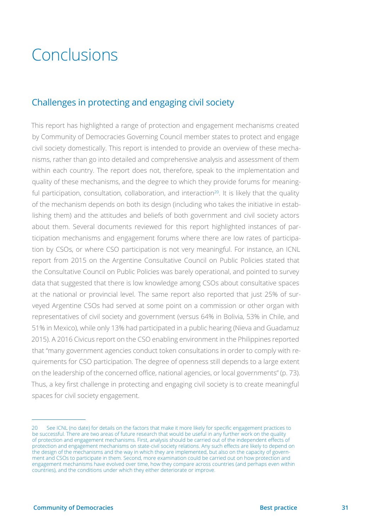## <span id="page-30-0"></span>Conclusions

### Challenges in protecting and engaging civil society

This report has highlighted a range of protection and engagement mechanisms created by Community of Democracies Governing Council member states to protect and engage civil society domestically. This report is intended to provide an overview of these mechanisms, rather than go into detailed and comprehensive analysis and assessment of them within each country. The report does not, therefore, speak to the implementation and quality of these mechanisms, and the degree to which they provide forums for meaningful participation, consultation, collaboration, and interaction $20$ . It is likely that the quality of the mechanism depends on both its design (including who takes the initiative in establishing them) and the attitudes and beliefs of both government and civil society actors about them. Several documents reviewed for this report highlighted instances of participation mechanisms and engagement forums where there are low rates of participation by CSOs, or where CSO participation is not very meaningful. For instance, an ICNL report from 2015 on the Argentine Consultative Council on Public Policies stated that the Consultative Council on Public Policies was barely operational, and pointed to survey data that suggested that there is low knowledge among CSOs about consultative spaces at the national or provincial level. The same report also reported that just 25% of surveyed Argentine CSOs had served at some point on a commission or other organ with representatives of civil society and government (versus 64% in Bolivia, 53% in Chile, and 51% in Mexico), while only 13% had participated in a public hearing (Nieva and Guadamuz 2015). A 2016 Civicus report on the CSO enabling environment in the Philippines reported that "many government agencies conduct token consultations in order to comply with requirements for CSO participation. The degree of openness still depends to a large extent on the leadership of the concerned office, national agencies, or local governments" (p. 73). Thus, a key first challenge in protecting and engaging civil society is to create meaningful spaces for civil society engagement.

<sup>20</sup> See ICNL (no date) for details on the factors that make it more likely for specific engagement practices to be successful. There are two areas of future research that would be useful in any further work on the quality of protection and engagement mechanisms. First, analysis should be carried out of the independent effects of protection and engagement mechanisms on state-civil society relations. Any such effects are likely to depend on the design of the mechanisms and the way in which they are implemented, but also on the capacity of government and CSOs to participate in them. Second, more examination could be carried out on how protection and engagement mechanisms have evolved over time, how they compare across countries (and perhaps even within countries), and the conditions under which they either deteriorate or improve.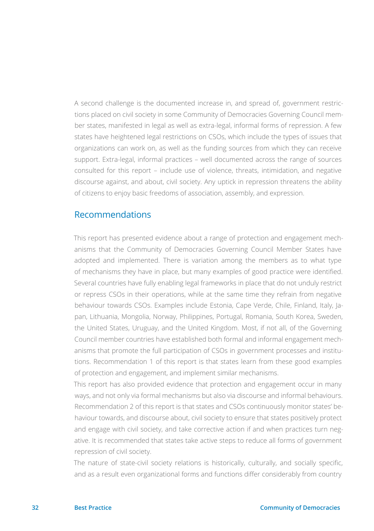A second challenge is the documented increase in, and spread of, government restrictions placed on civil society in some Community of Democracies Governing Council member states, manifested in legal as well as extra-legal, informal forms of repression. A few states have heightened legal restrictions on CSOs, which include the types of issues that organizations can work on, as well as the funding sources from which they can receive support. Extra-legal, informal practices – well documented across the range of sources consulted for this report – include use of violence, threats, intimidation, and negative discourse against, and about, civil society. Any uptick in repression threatens the ability of citizens to enjoy basic freedoms of association, assembly, and expression.

#### Recommendations

This report has presented evidence about a range of protection and engagement mechanisms that the Community of Democracies Governing Council Member States have adopted and implemented. There is variation among the members as to what type of mechanisms they have in place, but many examples of good practice were identified. Several countries have fully enabling legal frameworks in place that do not unduly restrict or repress CSOs in their operations, while at the same time they refrain from negative behaviour towards CSOs. Examples include Estonia, Cape Verde, Chile, Finland, Italy, Japan, Lithuania, Mongolia, Norway, Philippines, Portugal, Romania, South Korea, Sweden, the United States, Uruguay, and the United Kingdom. Most, if not all, of the Governing Council member countries have established both formal and informal engagement mechanisms that promote the full participation of CSOs in government processes and institutions. Recommendation 1 of this report is that states learn from these good examples of protection and engagement, and implement similar mechanisms.

This report has also provided evidence that protection and engagement occur in many ways, and not only via formal mechanisms but also via discourse and informal behaviours. Recommendation 2 of this report is that states and CSOs continuously monitor states' behaviour towards, and discourse about, civil society to ensure that states positively protect and engage with civil society, and take corrective action if and when practices turn negative. It is recommended that states take active steps to reduce all forms of government repression of civil society.

The nature of state-civil society relations is historically, culturally, and socially specific, and as a result even organizational forms and functions differ considerably from country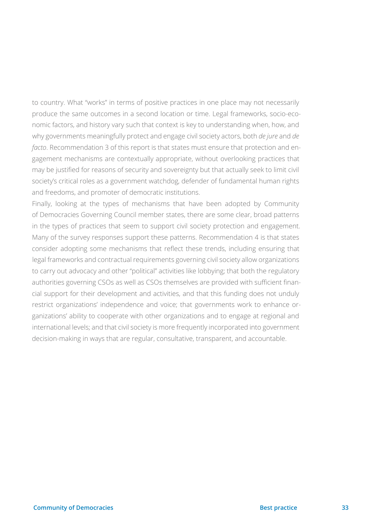to country. What "works" in terms of positive practices in one place may not necessarily produce the same outcomes in a second location or time. Legal frameworks, socio-economic factors, and history vary such that context is key to understanding when, how, and why governments meaningfully protect and engage civil society actors, both *de jure* and *de facto*. Recommendation 3 of this report is that states must ensure that protection and engagement mechanisms are contextually appropriate, without overlooking practices that may be justified for reasons of security and sovereignty but that actually seek to limit civil society's critical roles as a government watchdog, defender of fundamental human rights and freedoms, and promoter of democratic institutions.

Finally, looking at the types of mechanisms that have been adopted by Community of Democracies Governing Council member states, there are some clear, broad patterns in the types of practices that seem to support civil society protection and engagement. Many of the survey responses support these patterns. Recommendation 4 is that states consider adopting some mechanisms that reflect these trends, including ensuring that legal frameworks and contractual requirements governing civil society allow organizations to carry out advocacy and other "political" activities like lobbying; that both the regulatory authorities governing CSOs as well as CSOs themselves are provided with sufficient financial support for their development and activities, and that this funding does not unduly restrict organizations' independence and voice; that governments work to enhance organizations' ability to cooperate with other organizations and to engage at regional and international levels; and that civil society is more frequently incorporated into government decision-making in ways that are regular, consultative, transparent, and accountable.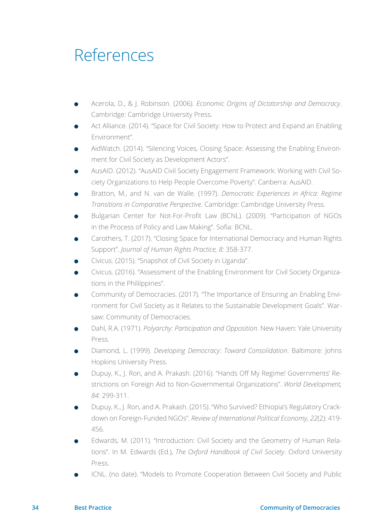### <span id="page-33-0"></span>References

- <sup>ā</sup> Acerola, D., & J. Robinson. (2006). *Economic Origins of Dictatorship and Democracy*. Cambridge: Cambridge University Press.
- <sup>ā</sup> Act Alliance. (2014). "Space for Civil Society: How to Protect and Expand an Enabling Environment".
- <sup>ā</sup> AidWatch. (2014). "Silencing Voices, Closing Space: Assessing the Enabling Environment for Civil Society as Development Actors".
- <sup>ā</sup> AusAID. (2012). "AusAID Civil Society Engagement Framework: Working with Civil Society Organizations to Help People Overcome Poverty". Canberra: AusAID.
- <sup>ā</sup> Bratton, M., and N. van de Walle. (1997). *Democratic Experiences in Africa: Regime Transitions in Comparative Perspective*. Cambridge: Cambridge University Press.
- <sup>ā</sup> Bulgarian Center for Not-For-Profit Law (BCNL). (2009). "Participation of NGOs in the Process of Policy and Law Making". Sofia: BCNL.
- <sup>ā</sup> Carothers, T. (2017). "Closing Space for International Democracy and Human Rights Support". *Journal of Human Rights Practice, 8:* 358-377.
- <sup>ā</sup> Civicus. (2015). "Snapshot of Civil Society in Uganda".
- <sup>ā</sup> Civicus. (2016). "Assessment of the Enabling Environment for Civil Society Organizations in the Phililppines".
- <sup>ā</sup> Community of Democracies. (2017). "The Importance of Ensuring an Enabling Environment for Civil Society as it Relates to the Sustainable Development Goals". Warsaw: Community of Democracies.
- <sup>ā</sup> Dahl, R.A. (1971). *Polyarchy: Participation and Opposition*. New Haven: Yale University Press.
- <sup>ā</sup> Diamond, L. (1999). *Developing Democracy: Toward Consolidation*. Baltimore: Johns Hopkins University Press.
- <sup>ā</sup> Dupuy, K., J. Ron, and A. Prakash. (2016). "Hands Off My Regime! Governments' Restrictions on Foreign Aid to Non-Governmental Organizations". *World Development, 84:* 299-311.
- <sup>ā</sup> Dupuy, K., J. Ron, and A. Prakash. (2015). "Who Survived? Ethiopia's Regulatory Crackdown on Foreign-Funded NGOs". *Review of International Political Economy, 22*(2): 419- 456.
- Edwards, M. (2011). "Introduction: Civil Society and the Geometry of Human Relations". In M. Edwards (Ed.), *The Oxford Handbook of Civil Society*. Oxford University Press.
- <sup>ā</sup> ICNL. (no date). "Models to Promote Cooperation Between Civil Society and Public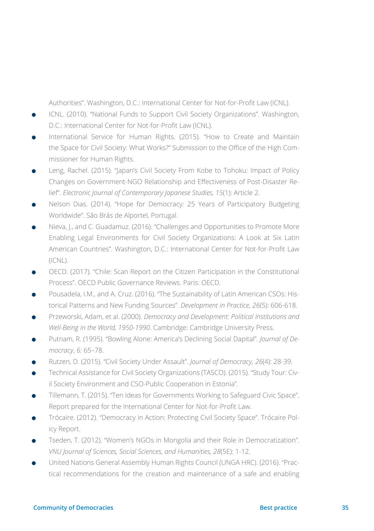Authorities". Washington, D.C.: International Center for Not-for-Profit Law (ICNL).

- ICNL. (2010). "National Funds to Support Civil Society Organizations". Washington, D.C.: International Center for Not-for-Profit Law (ICNL).
- International Service for Human Rights. (2015). "How to Create and Maintain the Space for Civil Society: What Works?" Submission to the Office of the High Commissioner for Human Rights.
- Leng, Rachel. (2015). "Japan's Civil Society From Kobe to Tohoku: Impact of Policy Changes on Government-NGO Relationship and Effectiveness of Post-Disaster Relief". *Electronic Journal of Contemporary Japanese Studies, 15*(1): Article 2.
- Nelson Dias. (2014). "Hope for Democracy: 25 Years of Participatory Budgeting Worldwide". São Brás de Alportel, Portugal.
- Nieva, J., and C. Guadamuz. (2016). "Challenges and Opportunities to Promote More Enabling Legal Environments for Civil Society Organizations: A Look at Six Latin American Countries". Washington, D.C.: International Center for Not-for-Profit Law (ICNL).
- **•** OECD. (2017). "Chile: Scan Report on the Citizen Participation in the Constitutional Process". OECD Public Governance Reviews. Paris: OECD.
- <sup>ā</sup> Pousadela, I.M., and A. Cruz. (2016). "The Sustainability of Latin American CSOs: Historical Patterns and New Funding Sources". *Development in Practice, 26*(5): 606-618.
- <sup>ā</sup> Przeworski, Adam, et al. (2000). *Democracy and Development: Political Institutions and Well-Being in the World, 1950-1990.* Cambridge: Cambridge University Press.
- <sup>ā</sup> Putnam, R. (1995). "Bowling Alone: America's Declining Social Dapital". *Journal of Democracy*, *6:* 65–78.
- <sup>ā</sup> Rutzen, D. (2015). "Civil Society Under Assault". *Journal of Democracy, 26*(4): 28-39.
- **•** Technical Assistance for Civil Society Organizations (TASCO). (2015). "Study Tour: Civil Society Environment and CSO-Public Cooperation in Estonia".
- <sup>ā</sup> Tillemann, T. (2015). "Ten Ideas for Governments Working to Safeguard Civic Space". Report prepared for the International Center for Not-for-Profit Law.
- <sup>ā</sup> Trócaire. (2012). "Democracy in Action: Protecting Civil Society Space". Trócaire Policy Report.
- <sup>ā</sup> Tseden, T. (2012). "Women's NGOs in Mongolia and their Role in Democratization". *VNU Journal of Sciences, Social Sciences, and Humanities, 28*(5E): 1-12.
- United Nations General Assembly Human Rights Council (UNGA HRC). (2016). "Practical recommendations for the creation and maintenance of a safe and enabling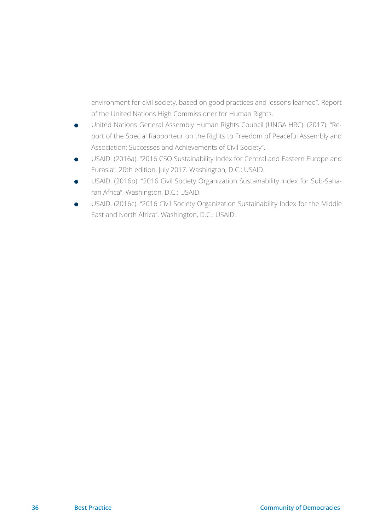environment for civil society, based on good practices and lessons learned". Report of the United Nations High Commissioner for Human Rights.

- <sup>ā</sup> United Nations General Assembly Human Rights Council (UNGA HRC). (2017). "Report of the Special Rapporteur on the Rights to Freedom of Peaceful Assembly and Association: Successes and Achievements of Civil Society".
- <sup>ā</sup> USAID. (2016a). "2016 CSO Sustainability Index for Central and Eastern Europe and Eurasia". 20th edition, July 2017. Washington, D.C.: USAID.
- <sup>ā</sup> USAID. (2016b). "2016 Civil Society Organization Sustainability Index for Sub-Saharan Africa". Washington, D.C.: USAID.
- USAID. (2016c). "2016 Civil Society Organization Sustainability Index for the Middle East and North Africa". Washington, D.C.: USAID.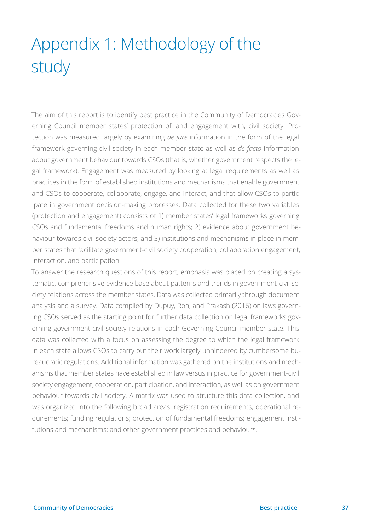# <span id="page-36-0"></span>Appendix 1: Methodology of the study

The aim of this report is to identify best practice in the Community of Democracies Governing Council member states' protection of, and engagement with, civil society. Protection was measured largely by examining *de jure* information in the form of the legal framework governing civil society in each member state as well as *de facto* information about government behaviour towards CSOs (that is, whether government respects the legal framework). Engagement was measured by looking at legal requirements as well as practices in the form of established institutions and mechanisms that enable government and CSOs to cooperate, collaborate, engage, and interact, and that allow CSOs to participate in government decision-making processes. Data collected for these two variables (protection and engagement) consists of 1) member states' legal frameworks governing CSOs and fundamental freedoms and human rights; 2) evidence about government behaviour towards civil society actors; and 3) institutions and mechanisms in place in member states that facilitate government-civil society cooperation, collaboration engagement, interaction, and participation.

To answer the research questions of this report, emphasis was placed on creating a systematic, comprehensive evidence base about patterns and trends in government-civil society relations across the member states. Data was collected primarily through document analysis and a survey. Data compiled by Dupuy, Ron, and Prakash (2016) on laws governing CSOs served as the starting point for further data collection on legal frameworks governing government-civil society relations in each Governing Council member state. This data was collected with a focus on assessing the degree to which the legal framework in each state allows CSOs to carry out their work largely unhindered by cumbersome bureaucratic regulations. Additional information was gathered on the institutions and mechanisms that member states have established in law versus in practice for government-civil society engagement, cooperation, participation, and interaction, as well as on government behaviour towards civil society. A matrix was used to structure this data collection, and was organized into the following broad areas: registration requirements; operational requirements; funding regulations; protection of fundamental freedoms; engagement institutions and mechanisms; and other government practices and behaviours.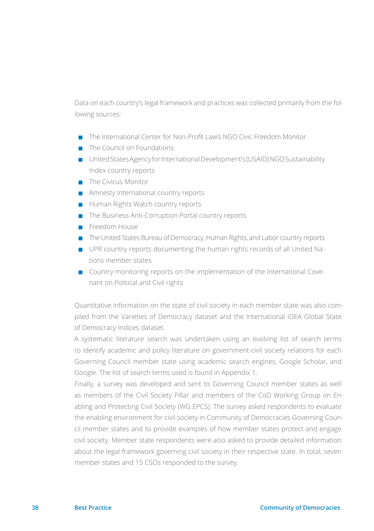Data on each country's legal framework and practices was collected primarily from the following sources:

- The International Center for Non-Profit Law's NGO Civic Freedom Monitor
- The Council on Foundations
- <sup>V</sup> United States Agency for International Development's (USAID) NGO Sustainability Index country reports
- $\blacksquare$  The Civicus Monitor
- $\blacksquare$  Amnesty International country reports
- Human Rights Watch country reports
- $\blacksquare$  The Business Anti-Corruption Portal country reports
- $\blacksquare$  Freedom House
- The United States Bureau of Democracy, Human Rights, and Labor country reports
- **Part UPR country reports documenting the human rights records of all United Na**tions member states
- $\blacksquare$  Country monitoring reports on the implementation of the International Covenant on Political and Civil rights

Quantitative information on the state of civil society in each member state was also compiled from the Varieties of Democracy dataset and the International IDEA Global State of Democracy Indices dataset.

A systematic literature search was undertaken using an evolving list of search terms to identify academic and policy literature on government-civil society relations for each Governing Council member state using academic search engines, Google Scholar, and Google. The list of search terms used is found in Appendix 1.

Finally, a survey was developed and sent to Governing Council member states as well as members of the Civil Society Pillar and members of the CoD Working Group on Enabling and Protecting Civil Society (WG EPCS). The survey asked respondents to evaluate the enabling environment for civil society in Community of Democracies Governing Council member states and to provide examples of how member states protect and engage civil society. Member state respondents were also asked to provide detailed information about the legal framework governing civil society in their respective state. In total, seven member states and 15 CSOs responded to the survey.